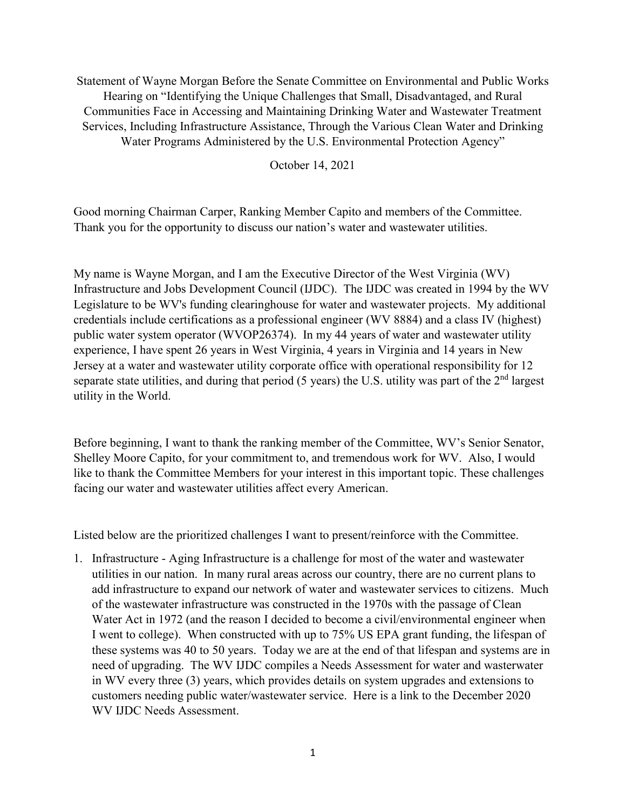Statement of Wayne Morgan Before the Senate Committee on Environmental and Public Works Hearing on "Identifying the Unique Challenges that Small, Disadvantaged, and Rural Communities Face in Accessing and Maintaining Drinking Water and Wastewater Treatment Services, Including Infrastructure Assistance, Through the Various Clean Water and Drinking Water Programs Administered by the U.S. Environmental Protection Agency"

October 14, 2021

Good morning Chairman Carper, Ranking Member Capito and members of the Committee. Thank you for the opportunity to discuss our nation's water and wastewater utilities.

My name is Wayne Morgan, and I am the Executive Director of the West Virginia (WV) Infrastructure and Jobs Development Council (IJDC). The IJDC was created in 1994 by the WV Legislature to be WV's funding clearinghouse for water and wastewater projects. My additional credentials include certifications as a professional engineer (WV 8884) and a class IV (highest) public water system operator (WVOP26374). In my 44 years of water and wastewater utility experience, I have spent 26 years in West Virginia, 4 years in Virginia and 14 years in New Jersey at a water and wastewater utility corporate office with operational responsibility for 12 separate state utilities, and during that period  $(5 \text{ years})$  the U.S. utility was part of the  $2<sup>nd</sup>$  largest utility in the World.

Before beginning, I want to thank the ranking member of the Committee, WV's Senior Senator, Shelley Moore Capito, for your commitment to, and tremendous work for WV. Also, I would like to thank the Committee Members for your interest in this important topic. These challenges facing our water and wastewater utilities affect every American.

Listed below are the prioritized challenges I want to present/reinforce with the Committee.

1. Infrastructure - Aging Infrastructure is a challenge for most of the water and wastewater utilities in our nation. In many rural areas across our country, there are no current plans to add infrastructure to expand our network of water and wastewater services to citizens. Much of the wastewater infrastructure was constructed in the 1970s with the passage of Clean Water Act in 1972 (and the reason I decided to become a civil/environmental engineer when I went to college). When constructed with up to 75% US EPA grant funding, the lifespan of these systems was 40 to 50 years. Today we are at the end of that lifespan and systems are in need of upgrading. The WV IJDC compiles a Needs Assessment for water and wasterwater in WV every three (3) years, which provides details on system upgrades and extensions to customers needing public water/wastewater service. Here is a link to the December 2020 WV IJDC Needs Assessment.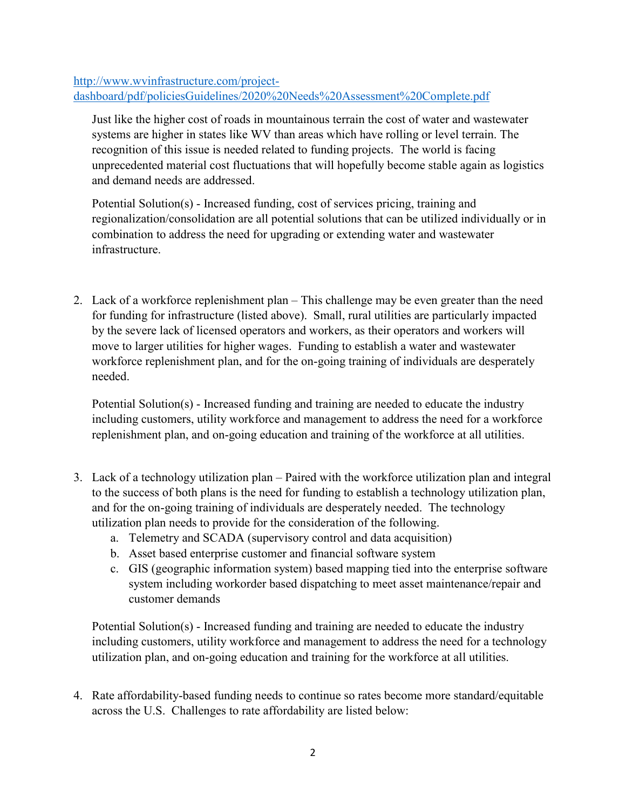[http://www.wvinfrastructure.com/project](http://www.wvinfrastructure.com/project-dashboard/pdf/policiesGuidelines/2020%20Needs%20Assessment%20Complete.pdf)[dashboard/pdf/policiesGuidelines/2020%20Needs%20Assessment%20Complete.pdf](http://www.wvinfrastructure.com/project-dashboard/pdf/policiesGuidelines/2020%20Needs%20Assessment%20Complete.pdf)

Just like the higher cost of roads in mountainous terrain the cost of water and wastewater systems are higher in states like WV than areas which have rolling or level terrain. The recognition of this issue is needed related to funding projects. The world is facing unprecedented material cost fluctuations that will hopefully become stable again as logistics and demand needs are addressed.

Potential Solution(s) - Increased funding, cost of services pricing, training and regionalization/consolidation are all potential solutions that can be utilized individually or in combination to address the need for upgrading or extending water and wastewater infrastructure.

2. Lack of a workforce replenishment plan – This challenge may be even greater than the need for funding for infrastructure (listed above). Small, rural utilities are particularly impacted by the severe lack of licensed operators and workers, as their operators and workers will move to larger utilities for higher wages. Funding to establish a water and wastewater workforce replenishment plan, and for the on-going training of individuals are desperately needed.

Potential Solution(s) - Increased funding and training are needed to educate the industry including customers, utility workforce and management to address the need for a workforce replenishment plan, and on-going education and training of the workforce at all utilities.

- 3. Lack of a technology utilization plan Paired with the workforce utilization plan and integral to the success of both plans is the need for funding to establish a technology utilization plan, and for the on-going training of individuals are desperately needed. The technology utilization plan needs to provide for the consideration of the following.
	- a. Telemetry and SCADA (supervisory control and data acquisition)
	- b. Asset based enterprise customer and financial software system
	- c. GIS (geographic information system) based mapping tied into the enterprise software system including workorder based dispatching to meet asset maintenance/repair and customer demands

Potential Solution(s) - Increased funding and training are needed to educate the industry including customers, utility workforce and management to address the need for a technology utilization plan, and on-going education and training for the workforce at all utilities.

4. Rate affordability-based funding needs to continue so rates become more standard/equitable across the U.S. Challenges to rate affordability are listed below: